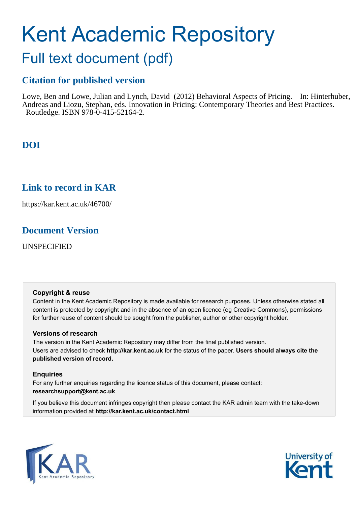# Kent Academic Repository

## Full text document (pdf)

## **Citation for published version**

Lowe, Ben and Lowe, Julian and Lynch, David (2012) Behavioral Aspects of Pricing. In: Hinterhuber, Andreas and Liozu, Stephan, eds. Innovation in Pricing: Contemporary Theories and Best Practices. Routledge. ISBN 978-0-415-52164-2.

## **DOI**

## **Link to record in KAR**

https://kar.kent.ac.uk/46700/

## **Document Version**

UNSPECIFIED

#### **Copyright & reuse**

Content in the Kent Academic Repository is made available for research purposes. Unless otherwise stated all content is protected by copyright and in the absence of an open licence (eg Creative Commons), permissions for further reuse of content should be sought from the publisher, author or other copyright holder.

#### **Versions of research**

The version in the Kent Academic Repository may differ from the final published version. Users are advised to check **http://kar.kent.ac.uk** for the status of the paper. **Users should always cite the published version of record.**

#### **Enquiries**

For any further enquiries regarding the licence status of this document, please contact: **researchsupport@kent.ac.uk**

If you believe this document infringes copyright then please contact the KAR admin team with the take-down information provided at **http://kar.kent.ac.uk/contact.html**



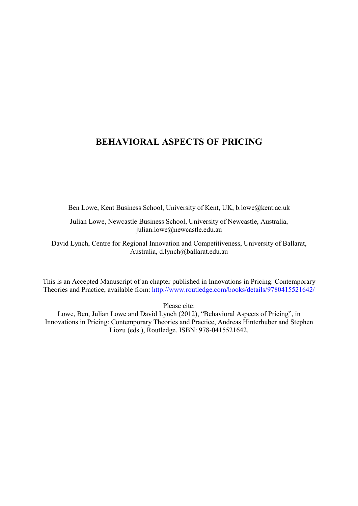### **BEHAVIORAL ASPECTS OF PRICING**

Ben Lowe, Kent Business School, University of Kent, UK, b.lowe@kent.ac.uk

Julian Lowe, Newcastle Business School, University of Newcastle, Australia, julian.lowe@newcastle.edu.au

David Lynch, Centre for Regional Innovation and Competitiveness, University of Ballarat, Australia, d.lynch@ballarat.edu.au

This is an Accepted Manuscript of an chapter published in Innovations in Pricing: Contemporary Theories and Practice, available from: http://www.routledge.com/books/details/9780415521642/

Please cite:

Lowe, Ben, Julian Lowe and David Lynch (2012), "Behavioral Aspects of Pricing", in Innovations in Pricing: Contemporary Theories and Practice, Andreas Hinterhuber and Stephen Liozu (eds.), Routledge. ISBN: 978-0415521642.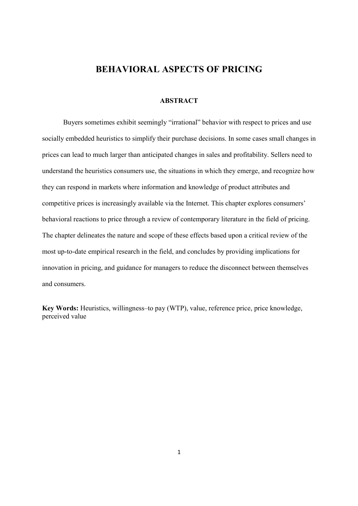#### **BEHAVIORAL ASPECTS OF PRICING**

#### **ABSTRACT**

Buyers sometimes exhibit seemingly "irrational" behavior with respect to prices and use socially embedded heuristics to simplify their purchase decisions. In some cases small changes in prices can lead to much larger than anticipated changes in sales and profitability. Sellers need to understand the heuristics consumers use, the situations in which they emerge, and recognize how they can respond in markets where information and knowledge of product attributes and competitive prices is increasingly available via the Internet. This chapter explores consumers' behavioral reactions to price through a review of contemporary literature in the field of pricing. The chapter delineates the nature and scope of these effects based upon a critical review of the most up-to-date empirical research in the field, and concludes by providing implications for innovation in pricing, and guidance for managers to reduce the disconnect between themselves and consumers.

Key Words: Heuristics, willingness–to pay (WTP), value, reference price, price knowledge, perceived value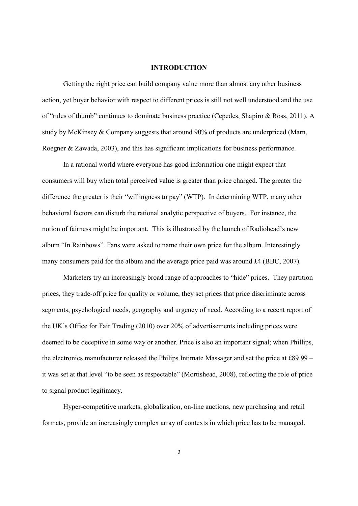#### **INTRODUCTION**

Getting the right price can build company value more than almost any other business action, yet buyer behavior with respect to different prices is still not well understood and the use of "rules of thumb" continues to dominate business practice (Cepedes, Shapiro & Ross, 2011). A study by McKinsey & Company suggests that around 90% of products are underpriced (Marn, Roegner & Zawada, 2003), and this has significant implications for business performance.

In a rational world where everyone has good information one might expect that consumers will buy when total perceived value is greater than price charged. The greater the difference the greater is their "willingness to pay" (WTP). In determining WTP, many other behavioral factors can disturb the rational analytic perspective of buyers. For instance, the notion of fairness might be important. This is illustrated by the launch of Radiohead's new album "In Rainbows". Fans were asked to name their own price for the album. Interestingly many consumers paid for the album and the average price paid was around £4 (BBC, 2007).

Marketers try an increasingly broad range of approaches to "hide" prices. They partition prices, they trade-off price for quality or volume, they set prices that price discriminate across segments, psychological needs, geography and urgency of need. According to a recent report of the UK's Office for Fair Trading (2010) over 20% of advertisements including prices were deemed to be deceptive in some way or another. Price is also an important signal; when Phillips, the electronics manufacturer released the Philips Intimate Massager and set the price at £89.99 – it was set at that level "to be seen as respectable" (Mortishead, 2008), reflecting the role of price to signal product legitimacy.

Hyper-competitive markets, globalization, on-line auctions, new purchasing and retail formats, provide an increasingly complex array of contexts in which price has to be managed.

 $\overline{2}$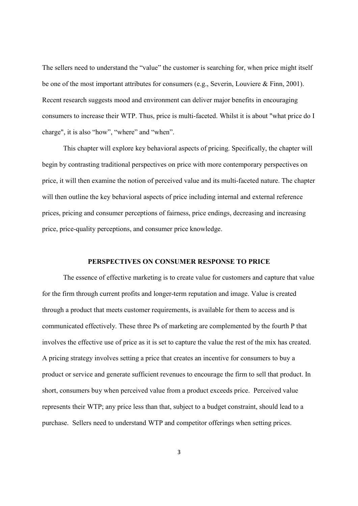The sellers need to understand the "value" the customer is searching for, when price might itself be one of the most important attributes for consumers (e.g., Severin, Louviere & Finn, 2001). Recent research suggests mood and environment can deliver major benefits in encouraging consumers to increase their WTP. Thus, price is multi-faceted. Whilst it is about "what price do I charge", it is also "how", "where" and "when".

This chapter will explore key behavioral aspects of pricing. Specifically, the chapter will begin by contrasting traditional perspectives on price with more contemporary perspectives on price, it will then examine the notion of perceived value and its multi-faceted nature. The chapter will then outline the key behavioral aspects of price including internal and external reference prices, pricing and consumer perceptions of fairness, price endings, decreasing and increasing price, price-quality perceptions, and consumer price knowledge.

#### PERSPECTIVES ON CONSUMER RESPONSE TO PRICE

The essence of effective marketing is to create value for customers and capture that value for the firm through current profits and longer-term reputation and image. Value is created through a product that meets customer requirements, is available for them to access and is communicated effectively. These three Ps of marketing are complemented by the fourth P that involves the effective use of price as it is set to capture the value the rest of the mix has created. A pricing strategy involves setting a price that creates an incentive for consumers to buy a product or service and generate sufficient revenues to encourage the firm to sell that product. In short, consumers buy when perceived value from a product exceeds price. Perceived value represents their WTP; any price less than that, subject to a budget constraint, should lead to a purchase. Sellers need to understand WTP and competitor offerings when setting prices.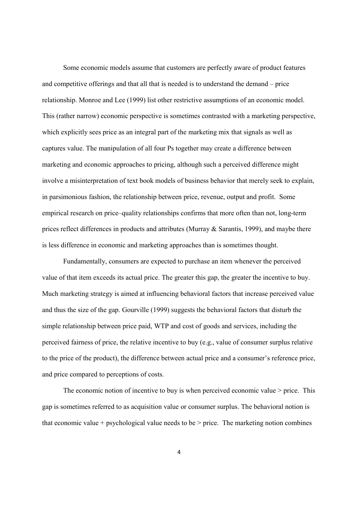Some economic models assume that customers are perfectly aware of product features and competitive offerings and that all that is needed is to understand the demand – price relationship. Monroe and Lee (1999) list other restrictive assumptions of an economic model. This (rather narrow) economic perspective is sometimes contrasted with a marketing perspective, which explicitly sees price as an integral part of the marketing mix that signals as well as captures value. The manipulation of all four Ps together may create a difference between marketing and economic approaches to pricing, although such a perceived difference might involve a misinterpretation of text book models of business behavior that merely seek to explain, in parsimonious fashion, the relationship between price, revenue, output and profit. Some empirical research on price-quality relationships confirms that more often than not, long-term prices reflect differences in products and attributes (Murray & Sarantis, 1999), and maybe there is less difference in economic and marketing approaches than is sometimes thought.

Fundamentally, consumers are expected to purchase an item whenever the perceived value of that item exceeds its actual price. The greater this gap, the greater the incentive to buy. Much marketing strategy is aimed at influencing behavioral factors that increase perceived value and thus the size of the gap. Gourville (1999) suggests the behavioral factors that disturb the simple relationship between price paid, WTP and cost of goods and services, including the perceived fairness of price, the relative incentive to buy (e.g., value of consumer surplus relative to the price of the product), the difference between actual price and a consumer's reference price, and price compared to perceptions of costs.

The economic notion of incentive to buy is when perceived economic value  $>$  price. This gap is sometimes referred to as acquisition value or consumer surplus. The behavioral notion is that economic value + psychological value needs to be  $>$  price. The marketing notion combines

 $\overline{4}$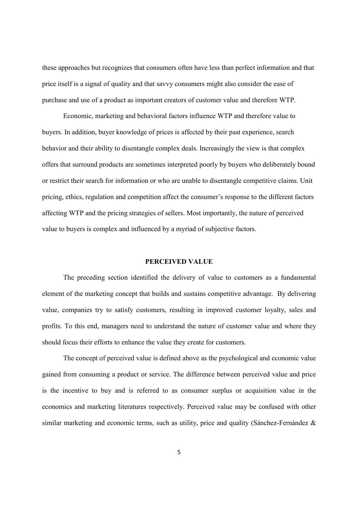these approaches but recognizes that consumers often have less than perfect information and that price itself is a signal of quality and that savvy consumers might also consider the ease of purchase and use of a product as important creators of customer value and therefore WTP.

Economic, marketing and behavioral factors influence WTP and therefore value to buyers. In addition, buyer knowledge of prices is affected by their past experience, search behavior and their ability to disentangle complex deals. Increasingly the view is that complex offers that surround products are sometimes interpreted poorly by buyers who deliberately bound or restrict their search for information or who are unable to disentangle competitive claims. Unit pricing, ethics, regulation and competition affect the consumer's response to the different factors affecting WTP and the pricing strategies of sellers. Most importantly, the nature of perceived value to buyers is complex and influenced by a myriad of subjective factors.

#### PERCEIVED VALUE

The preceding section identified the delivery of value to customers as a fundamental element of the marketing concept that builds and sustains competitive advantage. By delivering value, companies try to satisfy customers, resulting in improved customer loyalty, sales and profits. To this end, managers need to understand the nature of customer value and where they should focus their efforts to enhance the value they create for customers.

The concept of perceived value is defined above as the psychological and economic value gained from consuming a product or service. The difference between perceived value and price is the incentive to buy and is referred to as consumer surplus or acquisition value in the economics and marketing literatures respectively. Perceived value may be confused with other similar marketing and economic terms, such as utility, price and quality (Sánchez-Fernández &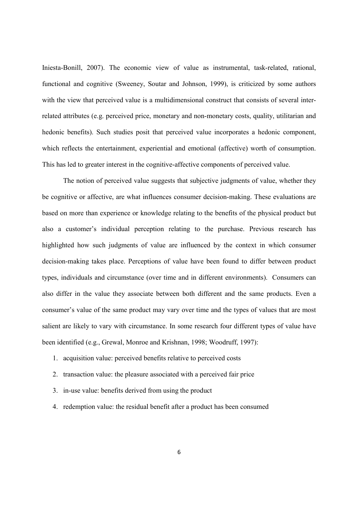Iniesta-Bonill, 2007). The economic view of value as instrumental, task-related, rational, functional and cognitive (Sweeney, Soutar and Johnson, 1999), is criticized by some authors with the view that perceived value is a multidimensional construct that consists of several interrelated attributes (e.g. perceived price, monetary and non-monetary costs, quality, utilitarian and hedonic benefits). Such studies posit that perceived value incorporates a hedonic component, which reflects the entertainment, experiential and emotional (affective) worth of consumption. This has led to greater interest in the cognitive-affective components of perceived value.

The notion of perceived value suggests that subjective judgments of value, whether they be cognitive or affective, are what influences consumer decision-making. These evaluations are based on more than experience or knowledge relating to the benefits of the physical product but also a customer's individual perception relating to the purchase. Previous research has highlighted how such judgments of value are influenced by the context in which consumer decision-making takes place. Perceptions of value have been found to differ between product types, individuals and circumstance (over time and in different environments). Consumers can also differ in the value they associate between both different and the same products. Even a consumer's value of the same product may vary over time and the types of values that are most salient are likely to vary with circumstance. In some research four different types of value have been identified (e.g., Grewal, Monroe and Krishnan, 1998; Woodruff, 1997):

- 1. acquisition value: perceived benefits relative to perceived costs
- 2. transaction value: the pleasure associated with a perceived fair price
- 3. in-use value: benefits derived from using the product
- 4. redemption value: the residual benefit after a product has been consumed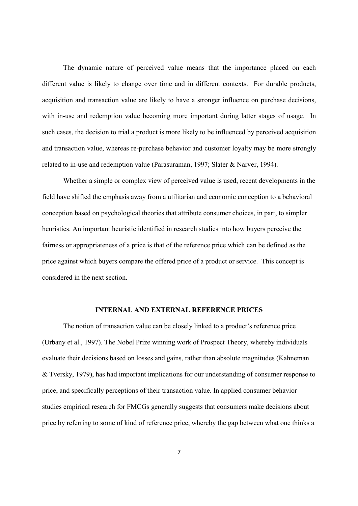The dynamic nature of perceived value means that the importance placed on each different value is likely to change over time and in different contexts. For durable products, acquisition and transaction value are likely to have a stronger influence on purchase decisions, with in-use and redemption value becoming more important during latter stages of usage. In such cases, the decision to trial a product is more likely to be influenced by perceived acquisition and transaction value, whereas re-purchase behavior and customer loyalty may be more strongly related to in-use and redemption value (Parasuraman, 1997; Slater & Narver, 1994).

Whether a simple or complex view of perceived value is used, recent developments in the field have shifted the emphasis away from a utilitarian and economic conception to a behavioral conception based on psychological theories that attribute consumer choices, in part, to simpler heuristics. An important heuristic identified in research studies into how buyers perceive the fairness or appropriateness of a price is that of the reference price which can be defined as the price against which buyers compare the offered price of a product or service. This concept is considered in the next section.

#### **INTERNAL AND EXTERNAL REFERENCE PRICES**

The notion of transaction value can be closely linked to a product's reference price (Urbany et al., 1997). The Nobel Prize winning work of Prospect Theory, whereby individuals evaluate their decisions based on losses and gains, rather than absolute magnitudes (Kahneman & Tversky, 1979), has had important implications for our understanding of consumer response to price, and specifically perceptions of their transaction value. In applied consumer behavior studies empirical research for FMCGs generally suggests that consumers make decisions about price by referring to some of kind of reference price, whereby the gap between what one thinks a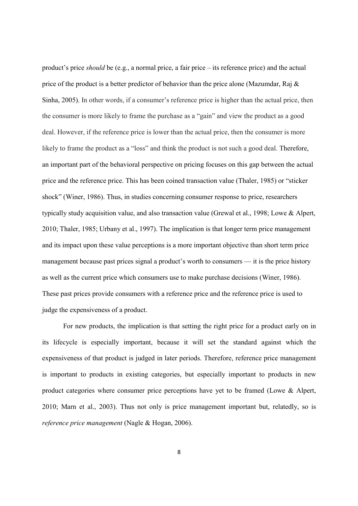product's price *should* be (e.g., a normal price, a fair price – its reference price) and the actual price of the product is a better predictor of behavior than the price alone (Mazumdar, Raj  $\&$ Sinha, 2005). In other words, if a consumer's reference price is higher than the actual price, then the consumer is more likely to frame the purchase as a "gain" and view the product as a good deal. However, if the reference price is lower than the actual price, then the consumer is more likely to frame the product as a "loss" and think the product is not such a good deal. Therefore, an important part of the behavioral perspective on pricing focuses on this gap between the actual price and the reference price. This has been coined transaction value (Thaler, 1985) or "sticker shock" (Winer, 1986). Thus, in studies concerning consumer response to price, researchers typically study acquisition value, and also transaction value (Grewal et al., 1998; Lowe & Alpert, 2010; Thaler, 1985; Urbany et al., 1997). The implication is that longer term price management and its impact upon these value perceptions is a more important objective than short term price management because past prices signal a product's worth to consumers — it is the price history as well as the current price which consumers use to make purchase decisions (Winer, 1986). These past prices provide consumers with a reference price and the reference price is used to judge the expensiveness of a product.

For new products, the implication is that setting the right price for a product early on in its lifecycle is especially important, because it will set the standard against which the expensiveness of that product is judged in later periods. Therefore, reference price management is important to products in existing categories, but especially important to products in new product categories where consumer price perceptions have yet to be framed (Lowe  $\&$  Alpert, 2010; Marn et al., 2003). Thus not only is price management important but, relatedly, so is *reference price management* (Nagle & Hogan, 2006).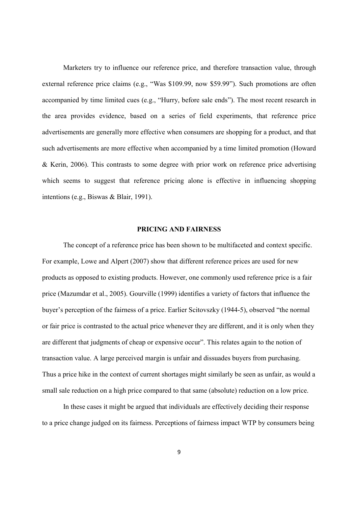Marketers try to influence our reference price, and therefore transaction value, through external reference price claims (e.g., "Was \$109.99, now \$59.99"). Such promotions are often accompanied by time limited cues (e.g., "Hurry, before sale ends"). The most recent research in the area provides evidence, based on a series of field experiments, that reference price advertisements are generally more effective when consumers are shopping for a product, and that such advertisements are more effective when accompanied by a time limited promotion (Howard & Kerin, 2006). This contrasts to some degree with prior work on reference price advertising which seems to suggest that reference pricing alone is effective in influencing shopping intentions (e.g., Biswas & Blair, 1991).

#### **PRICING AND FAIRNESS**

The concept of a reference price has been shown to be multifaceted and context specific. For example. Lowe and Alpert (2007) show that different reference prices are used for new products as opposed to existing products. However, one commonly used reference price is a fair price (Mazumdar et al., 2005). Gourville (1999) identifies a variety of factors that influence the buyer's perception of the fairness of a price. Earlier Scitovszky (1944-5), observed "the normal or fair price is contrasted to the actual price whenever they are different, and it is only when they are different that judgments of cheap or expensive occur". This relates again to the notion of transaction value. A large perceived margin is unfair and dissuades buyers from purchasing. Thus a price hike in the context of current shortages might similarly be seen as unfair, as would a small sale reduction on a high price compared to that same (absolute) reduction on a low price.

In these cases it might be argued that individuals are effectively deciding their response to a price change judged on its fairness. Perceptions of fairness impact WTP by consumers being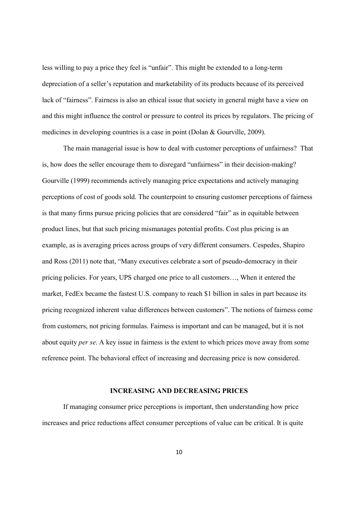less willing to pay a price they feel is "unfair". This might be extended to a long-term depreciation of a seller's reputation and marketability of its products because of its perceived lack of "fairness". Fairness is also an ethical issue that society in general might have a view on and this might influence the control or pressure to control its prices by regulators. The pricing of medicines in developing countries is a case in point (Dolan & Gourville, 2009).

The main managerial issue is how to deal with customer perceptions of unfairness? That is, how does the seller encourage them to disregard "unfairness" in their decision-making? Gourville (1999) recommends actively managing price expectations and actively managing perceptions of cost of goods sold. The counterpoint to ensuring customer perceptions of fairness is that many firms pursue pricing policies that are considered "fair" as in equitable between product lines, but that such pricing mismanages potential profits. Cost plus pricing is an example, as is averaging prices across groups of very different consumers. Cespedes, Shapiro and Ross (2011) note that, "Many executives celebrate a sort of pseudo-democracy in their pricing policies. For years, UPS charged one price to all customers..., When it entered the market. FedEx became the fastest U.S. company to reach \$1 billion in sales in part because its pricing recognized inherent value differences between customers". The notions of fairness come from customers, not pricing formulas. Fairness is important and can be managed, but it is not about equity *per se*. A key issue in fairness is the extent to which prices move away from some reference point. The behavioral effect of increasing and decreasing price is now considered.

#### **INCREASING AND DECREASING PRICES**

If managing consumer price perceptions is important, then understanding how price increases and price reductions affect consumer perceptions of value can be critical. It is quite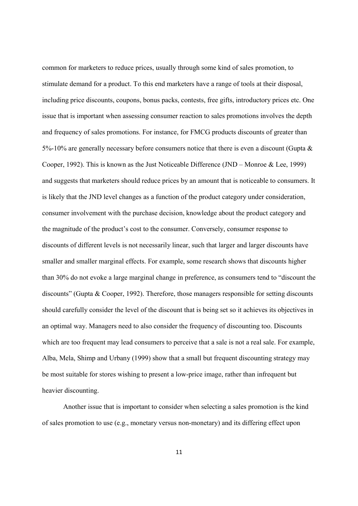common for marketers to reduce prices, usually through some kind of sales promotion, to stimulate demand for a product. To this end marketers have a range of tools at their disposal, including price discounts, coupons, bonus packs, contests, free gifts, introductory prices etc. One issue that is important when assessing consumer reaction to sales promotions involves the depth and frequency of sales promotions. For instance, for FMCG products discounts of greater than 5%-10% are generally necessary before consumers notice that there is even a discount (Gupta  $\&$ Cooper, 1992). This is known as the Just Noticeable Difference (JND – Monroe & Lee, 1999) and suggests that marketers should reduce prices by an amount that is noticeable to consumers. It is likely that the JND level changes as a function of the product category under consideration, consumer involvement with the purchase decision, knowledge about the product category and the magnitude of the product's cost to the consumer. Conversely, consumer response to discounts of different levels is not necessarily linear, such that larger and larger discounts have smaller and smaller marginal effects. For example, some research shows that discounts higher than 30% do not evoke a large marginal change in preference, as consumers tend to "discount the discounts" (Gupta & Cooper, 1992). Therefore, those managers responsible for setting discounts should carefully consider the level of the discount that is being set so it achieves its objectives in an optimal way. Managers need to also consider the frequency of discounting too. Discounts which are too frequent may lead consumers to perceive that a sale is not a real sale. For example, Alba, Mela, Shimp and Urbany (1999) show that a small but frequent discounting strategy may be most suitable for stores wishing to present a low-price image, rather than infrequent but heavier discounting.

Another issue that is important to consider when selecting a sales promotion is the kind of sales promotion to use (e.g., monetary versus non-monetary) and its differing effect upon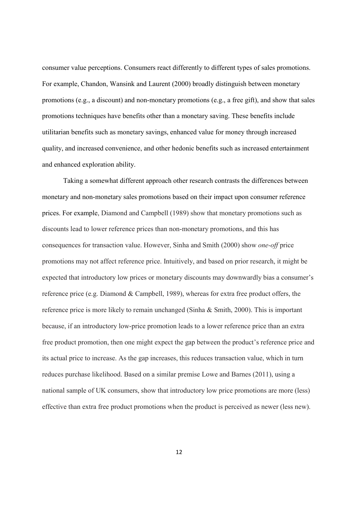consumer value perceptions. Consumers react differently to different types of sales promotions. For example, Chandon, Wansink and Laurent (2000) broadly distinguish between monetary promotions (e.g., a discount) and non-monetary promotions (e.g., a free gift), and show that sales promotions techniques have benefits other than a monetary saving. These benefits include utilitarian benefits such as monetary savings, enhanced value for money through increased quality, and increased convenience, and other hedonic benefits such as increased entertainment and enhanced exploration ability.

Taking a somewhat different approach other research contrasts the differences between monetary and non-monetary sales promotions based on their impact upon consumer reference prices. For example, Diamond and Campbell (1989) show that monetary promotions such as discounts lead to lower reference prices than non-monetary promotions, and this has consequences for transaction value. However, Sinha and Smith (2000) show one-off price promotions may not affect reference price. Intuitively, and based on prior research, it might be expected that introductory low prices or monetary discounts may downwardly bias a consumer's reference price (e.g. Diamond & Campbell, 1989), whereas for extra free product offers, the reference price is more likely to remain unchanged (Sinha  $\&$  Smith, 2000). This is important because, if an introductory low-price promotion leads to a lower reference price than an extra free product promotion, then one might expect the gap between the product's reference price and its actual price to increase. As the gap increases, this reduces transaction value, which in turn reduces purchase likelihood. Based on a similar premise Lowe and Barnes (2011), using a national sample of UK consumers, show that introductory low price promotions are more (less) effective than extra free product promotions when the product is perceived as newer (less new).

 $12$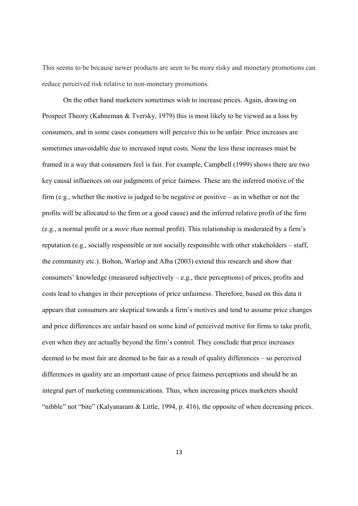This seems to be because newer products are seen to be more risky and monetary promotions can reduce perceived risk relative to non-monetary promotions.

On the other hand marketers sometimes wish to increase prices. Again, drawing on Prospect Theory (Kahneman & Tversky, 1979) this is most likely to be viewed as a loss by consumers, and in some cases consumers will perceive this to be unfair. Price increases are sometimes unavoidable due to increased input costs. None the less these increases must be framed in a way that consumers feel is fair. For example, Campbell (1999) shows there are two key causal influences on our judgments of price fairness. These are the inferred motive of the firm (e.g., whether the motive is judged to be negative or positive  $-\text{ as in whether or not the}$ ) profits will be allocated to the firm or a good cause) and the inferred relative profit of the firm (e.g., a normal profit or a *more than* normal profit). This relationship is moderated by a firm's reputation (e.g., socially responsible or not socially responsible with other stakeholders – staff, the community etc.). Bolton, Warlop and Alba (2003) extend this research and show that consumers' knowledge (measured subjectively  $-$  e.g., their perceptions) of prices, profits and costs lead to changes in their perceptions of price unfairness. Therefore, based on this data it appears that consumers are skeptical towards a firm's motives and tend to assume price changes and price differences are unfair based on some kind of perceived motive for firms to take profit, even when they are actually beyond the firm's control. They conclude that price increases deemed to be most fair are deemed to be fair as a result of quality differences – so perceived differences in quality are an important cause of price fairness perceptions and should be an integral part of marketing communications. Thus, when increasing prices marketers should "nibble" not "bite" (Kalyanaram & Little, 1994, p. 416), the opposite of when decreasing prices.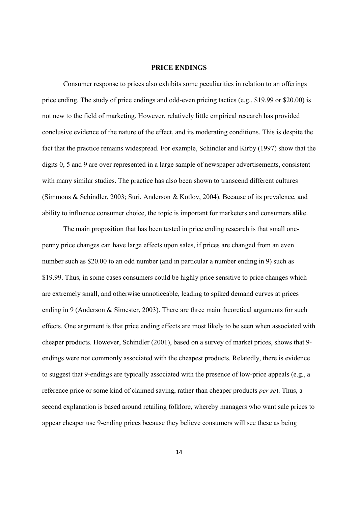#### **PRICE ENDINGS**

Consumer response to prices also exhibits some peculiarities in relation to an offerings price ending. The study of price endings and odd-even pricing tactics (e.g., \$19.99 or \$20.00) is not new to the field of marketing. However, relatively little empirical research has provided conclusive evidence of the nature of the effect, and its moderating conditions. This is despite the fact that the practice remains widespread. For example, Schindler and Kirby (1997) show that the digits 0, 5 and 9 are over represented in a large sample of newspaper advertisements, consistent with many similar studies. The practice has also been shown to transcend different cultures (Simmons & Schindler, 2003; Suri, Anderson & Kotlov, 2004). Because of its prevalence, and ability to influence consumer choice, the topic is important for marketers and consumers alike.

The main proposition that has been tested in price ending research is that small onepenny price changes can have large effects upon sales, if prices are changed from an even number such as \$20.00 to an odd number (and in particular a number ending in 9) such as \$19.99. Thus, in some cases consumers could be highly price sensitive to price changes which are extremely small, and otherwise unnoticeable, leading to spiked demand curves at prices ending in 9 (Anderson & Simester, 2003). There are three main theoretical arguments for such effects. One argument is that price ending effects are most likely to be seen when associated with cheaper products. However, Schindler (2001), based on a survey of market prices, shows that 9endings were not commonly associated with the cheapest products. Relatedly, there is evidence to suggest that 9-endings are typically associated with the presence of low-price appeals (e.g., a reference price or some kind of claimed saving, rather than cheaper products *per se*). Thus, a second explanation is based around retailing folklore, whereby managers who want sale prices to appear cheaper use 9-ending prices because they believe consumers will see these as being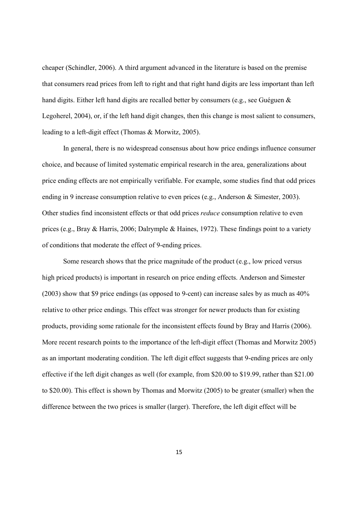cheaper (Schindler, 2006). A third argument advanced in the literature is based on the premise that consumers read prices from left to right and that right hand digits are less important than left hand digits. Either left hand digits are recalled better by consumers (e.g., see Guéguen & Legoherel, 2004), or, if the left hand digit changes, then this change is most salient to consumers, leading to a left-digit effect (Thomas & Morwitz, 2005).

In general, there is no widespread consensus about how price endings influence consumer choice, and because of limited systematic empirical research in the area, generalizations about price ending effects are not empirically verifiable. For example, some studies find that odd prices ending in 9 increase consumption relative to even prices (e.g., Anderson & Simester, 2003). Other studies find inconsistent effects or that odd prices *reduce* consumption relative to even prices (e.g., Bray & Harris, 2006; Dalrymple & Haines, 1972). These findings point to a variety of conditions that moderate the effect of 9-ending prices.

Some research shows that the price magnitude of the product (e.g., low priced versus high priced products) is important in research on price ending effects. Anderson and Simester  $(2003)$  show that \$9 price endings (as opposed to 9-cent) can increase sales by as much as  $40\%$ relative to other price endings. This effect was stronger for newer products than for existing products, providing some rationale for the inconsistent effects found by Bray and Harris (2006). More recent research points to the importance of the left-digit effect (Thomas and Morwitz 2005) as an important moderating condition. The left digit effect suggests that 9-ending prices are only effective if the left digit changes as well (for example, from \$20.00 to \$19.99, rather than \$21.00) to \$20.00). This effect is shown by Thomas and Morwitz (2005) to be greater (smaller) when the difference between the two prices is smaller (larger). Therefore, the left digit effect will be

15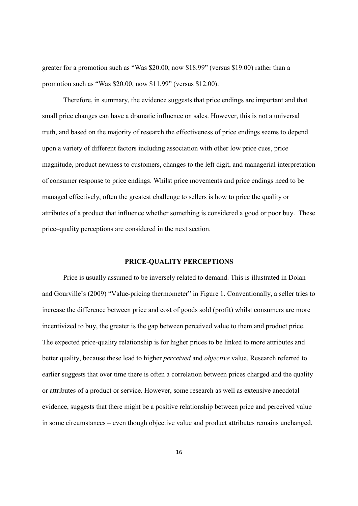greater for a promotion such as "Was \$20.00, now \$18.99" (versus \$19.00) rather than a promotion such as "Was \$20.00, now \$11.99" (versus \$12.00).

Therefore, in summary, the evidence suggests that price endings are important and that small price changes can have a dramatic influence on sales. However, this is not a universal truth, and based on the majority of research the effectiveness of price endings seems to depend upon a variety of different factors including association with other low price cues, price magnitude, product newness to customers, changes to the left digit, and managerial interpretation of consumer response to price endings. Whilst price movements and price endings need to be managed effectively, often the greatest challenge to sellers is how to price the quality or attributes of a product that influence whether something is considered a good or poor buy. These price-quality perceptions are considered in the next section.

#### PRICE-QUALITY PERCEPTIONS

Price is usually assumed to be inversely related to demand. This is illustrated in Dolan and Gourville's (2009) "Value-pricing thermometer" in Figure 1. Conventionally, a seller tries to increase the difference between price and cost of goods sold (profit) whilst consumers are more incentivized to buy, the greater is the gap between perceived value to them and product price. The expected price-quality relationship is for higher prices to be linked to more attributes and better quality, because these lead to higher *perceived* and *objective* value. Research referred to earlier suggests that over time there is often a correlation between prices charged and the quality or attributes of a product or service. However, some research as well as extensive anecdotal evidence, suggests that there might be a positive relationship between price and perceived value in some circumstances – even though objective value and product attributes remains unchanged.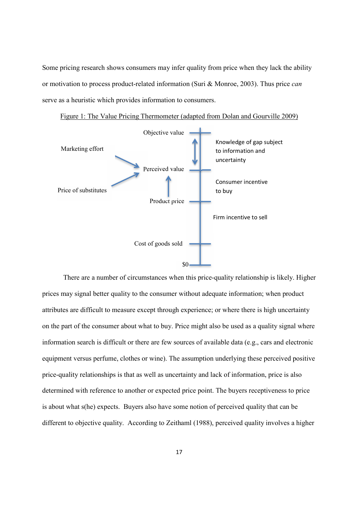Some pricing research shows consumers may infer quality from price when they lack the ability or motivation to process product-related information (Suri & Monroe, 2003). Thus price can serve as a heuristic which provides information to consumers.





There are a number of circumstances when this price-quality relationship is likely. Higher prices may signal better quality to the consumer without adequate information; when product attributes are difficult to measure except through experience; or where there is high uncertainty on the part of the consumer about what to buy. Price might also be used as a quality signal where information search is difficult or there are few sources of available data (e.g., cars and electronic equipment versus perfume, clothes or wine). The assumption underlying these perceived positive price-quality relationships is that as well as uncertainty and lack of information, price is also determined with reference to another or expected price point. The buyers receptiveness to price is about what s(he) expects. Buyers also have some notion of perceived quality that can be different to objective quality. According to Zeithaml (1988), perceived quality involves a higher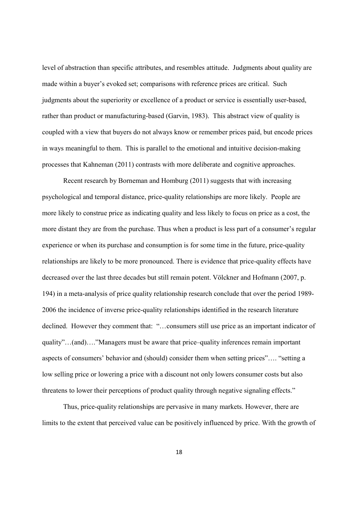level of abstraction than specific attributes, and resembles attitude. Judgments about quality are made within a buyer's evoked set; comparisons with reference prices are critical. Such judgments about the superiority or excellence of a product or service is essentially user-based, rather than product or manufacturing-based (Garvin, 1983). This abstract view of quality is coupled with a view that buyers do not always know or remember prices paid, but encode prices in ways meaningful to them. This is parallel to the emotional and intuitive decision-making processes that Kahneman (2011) contrasts with more deliberate and cognitive approaches.

Recent research by Borneman and Homburg (2011) suggests that with increasing psychological and temporal distance, price-quality relationships are more likely. People are more likely to construe price as indicating quality and less likely to focus on price as a cost, the more distant they are from the purchase. Thus when a product is less part of a consumer's regular experience or when its purchase and consumption is for some time in the future, price-quality relationships are likely to be more pronounced. There is evidence that price-quality effects have decreased over the last three decades but still remain potent. Völckner and Hofmann (2007, p. 194) in a meta-analysis of price quality relationship research conclude that over the period 1989-2006 the incidence of inverse price-quality relationships identified in the research literature declined. However they comment that: "...consumers still use price as an important indicator of quality"...(and)...."Managers must be aware that price-quality inferences remain important aspects of consumers' behavior and (should) consider them when setting prices".... "setting a low selling price or lowering a price with a discount not only lowers consumer costs but also threatens to lower their perceptions of product quality through negative signaling effects."

Thus, price-quality relationships are pervasive in many markets. However, there are limits to the extent that perceived value can be positively influenced by price. With the growth of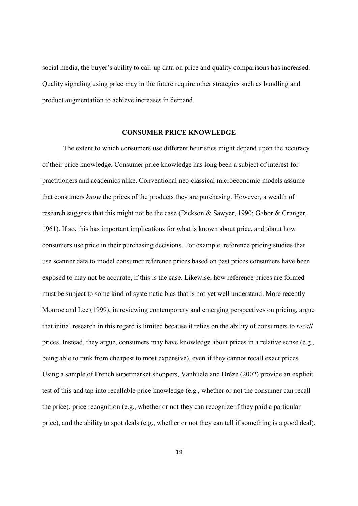social media, the buyer's ability to call-up data on price and quality comparisons has increased. Quality signaling using price may in the future require other strategies such as bundling and product augmentation to achieve increases in demand.

#### **CONSUMER PRICE KNOWLEDGE**

The extent to which consumers use different heuristics might depend upon the accuracy of their price knowledge. Consumer price knowledge has long been a subject of interest for practitioners and academics alike. Conventional neo-classical microeconomic models assume that consumers know the prices of the products they are purchasing. However, a wealth of research suggests that this might not be the case (Dickson & Sawyer, 1990; Gabor & Granger, 1961). If so, this has important implications for what is known about price, and about how consumers use price in their purchasing decisions. For example, reference pricing studies that use scanner data to model consumer reference prices based on past prices consumers have been exposed to may not be accurate, if this is the case. Likewise, how reference prices are formed must be subject to some kind of systematic bias that is not yet well understand. More recently Monroe and Lee (1999), in reviewing contemporary and emerging perspectives on pricing, argue that initial research in this regard is limited because it relies on the ability of consumers to *recall* prices. Instead, they argue, consumers may have knowledge about prices in a relative sense (e.g., being able to rank from cheapest to most expensive), even if they cannot recall exact prices. Using a sample of French supermarket shoppers, Vanhuele and Drèze (2002) provide an explicit test of this and tap into recallable price knowledge (e.g., whether or not the consumer can recall the price), price recognition (e.g., whether or not they can recognize if they paid a particular price), and the ability to spot deals (e.g., whether or not they can tell if something is a good deal).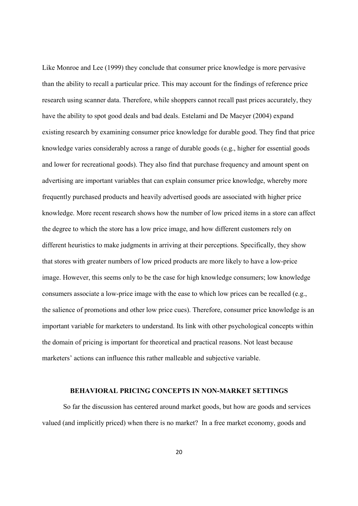Like Monroe and Lee (1999) they conclude that consumer price knowledge is more pervasive than the ability to recall a particular price. This may account for the findings of reference price research using scanner data. Therefore, while shoppers cannot recall past prices accurately, they have the ability to spot good deals and bad deals. Estelami and De Maeyer (2004) expand existing research by examining consumer price knowledge for durable good. They find that price knowledge varies considerably across a range of durable goods (e.g., higher for essential goods and lower for recreational goods). They also find that purchase frequency and amount spent on advertising are important variables that can explain consumer price knowledge, whereby more frequently purchased products and heavily advertised goods are associated with higher price knowledge. More recent research shows how the number of low priced items in a store can affect the degree to which the store has a low price image, and how different customers rely on different heuristics to make judgments in arriving at their perceptions. Specifically, they show that stores with greater numbers of low priced products are more likely to have a low-price image. However, this seems only to be the case for high knowledge consumers; low knowledge consumers associate a low-price image with the ease to which low prices can be recalled (e.g., the salience of promotions and other low price cues). Therefore, consumer price knowledge is an important variable for marketers to understand. Its link with other psychological concepts within the domain of pricing is important for theoretical and practical reasons. Not least because marketers' actions can influence this rather malleable and subjective variable.

#### **BEHAVIORAL PRICING CONCEPTS IN NON-MARKET SETTINGS**

So far the discussion has centered around market goods, but how are goods and services valued (and implicitly priced) when there is no market? In a free market economy, goods and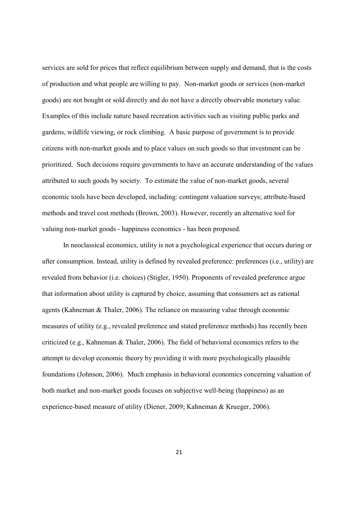services are sold for prices that reflect equilibrium between supply and demand, that is the costs of production and what people are willing to pay. Non-market goods or services (non-market goods) are not bought or sold directly and do not have a directly observable monetary value. Examples of this include nature based recreation activities such as visiting public parks and gardens, wildlife viewing, or rock climbing. A basic purpose of government is to provide citizens with non-market goods and to place values on such goods so that investment can be prioritized. Such decisions require governments to have an accurate understanding of the values attributed to such goods by society. To estimate the value of non-market goods, several economic tools have been developed, including: contingent valuation surveys; attribute-based methods and travel cost methods (Brown, 2003). However, recently an alternative tool for valuing non-market goods - happiness economics - has been proposed.

In neoclassical economics, utility is not a psychological experience that occurs during or after consumption. Instead, utility is defined by revealed preference: preferences (i.e., utility) are revealed from behavior (i.e. choices) (Stigler, 1950). Proponents of revealed preference argue that information about utility is captured by choice, assuming that consumers act as rational agents (Kahneman & Thaler, 2006). The reliance on measuring value through economic measures of utility (e.g., revealed preference and stated preference methods) has recently been criticized (e.g., Kahneman & Thaler, 2006). The field of behavioral economics refers to the attempt to develop economic theory by providing it with more psychologically plausible foundations (Johnson, 2006). Much emphasis in behavioral economics concerning valuation of both market and non-market goods focuses on subjective well-being (happiness) as an experience-based measure of utility (Diener, 2009; Kahneman & Krueger, 2006).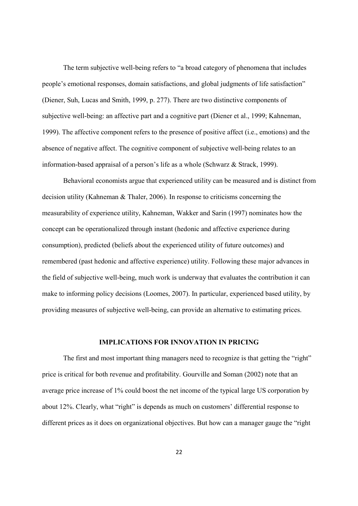The term subjective well-being refers to "a broad category of phenomena that includes people's emotional responses, domain satisfactions, and global judgments of life satisfaction" (Diener, Suh, Lucas and Smith, 1999, p. 277). There are two distinctive components of subjective well-being: an affective part and a cognitive part (Diener et al., 1999; Kahneman, 1999). The affective component refers to the presence of positive affect (i.e., emotions) and the absence of negative affect. The cognitive component of subjective well-being relates to an information-based appraisal of a person's life as a whole (Schwarz  $&$  Strack, 1999).

Behavioral economists argue that experienced utility can be measured and is distinct from decision utility (Kahneman & Thaler, 2006). In response to criticisms concerning the measurability of experience utility, Kahneman, Wakker and Sarin (1997) nominates how the concept can be operationalized through instant (hedonic and affective experience during consumption), predicted (beliefs about the experienced utility of future outcomes) and remembered (past hedonic and affective experience) utility. Following these major advances in the field of subjective well-being, much work is underway that evaluates the contribution it can make to informing policy decisions (Loomes, 2007). In particular, experienced based utility, by providing measures of subjective well-being, can provide an alternative to estimating prices.

#### **IMPLICATIONS FOR INNOVATION IN PRICING**

The first and most important thing managers need to recognize is that getting the "right" price is critical for both revenue and profitability. Gourville and Soman (2002) note that an average price increase of 1% could boost the net income of the typical large US corporation by about 12%. Clearly, what "right" is depends as much on customers' differential response to different prices as it does on organizational objectives. But how can a manager gauge the "right"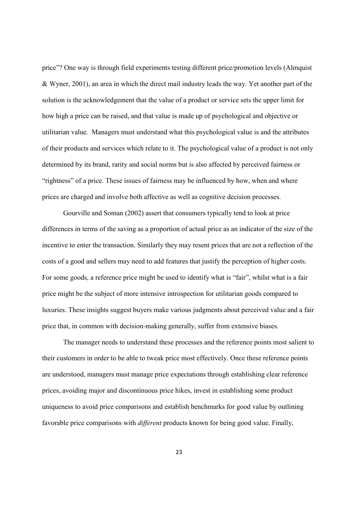price"? One way is through field experiments testing different price/promotion levels (Almquist & Wyner, 2001), an area in which the direct mail industry leads the way. Yet another part of the solution is the acknowledgement that the value of a product or service sets the upper limit for how high a price can be raised, and that value is made up of psychological and objective or utilitarian value. Managers must understand what this psychological value is and the attributes of their products and services which relate to it. The psychological value of a product is not only determined by its brand, rarity and social norms but is also affected by perceived fairness or "rightness" of a price. These issues of fairness may be influenced by how, when and where prices are charged and involve both affective as well as cognitive decision processes.

Gourville and Soman (2002) assert that consumers typically tend to look at price differences in terms of the saving as a proportion of actual price as an indicator of the size of the incentive to enter the transaction. Similarly they may resent prices that are not a reflection of the costs of a good and sellers may need to add features that justify the perception of higher costs. For some goods, a reference price might be used to identify what is "fair", whilst what is a fair price might be the subject of more intensive introspection for utilitarian goods compared to luxuries. These insights suggest buyers make various judgments about perceived value and a fair price that, in common with decision-making generally, suffer from extensive biases.

The manager needs to understand these processes and the reference points most salient to their customers in order to be able to tweak price most effectively. Once these reference points are understood, managers must manage price expectations through establishing clear reference prices, avoiding major and discontinuous price hikes, invest in establishing some product uniqueness to avoid price comparisons and establish benchmarks for good value by outlining favorable price comparisons with *different* products known for being good value. Finally,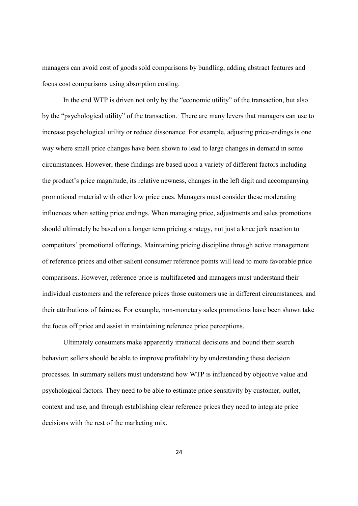managers can avoid cost of goods sold comparisons by bundling, adding abstract features and focus cost comparisons using absorption costing.

In the end WTP is driven not only by the "economic utility" of the transaction, but also by the "psychological utility" of the transaction. There are many levers that managers can use to increase psychological utility or reduce dissonance. For example, adjusting price-endings is one way where small price changes have been shown to lead to large changes in demand in some circumstances. However, these findings are based upon a variety of different factors including the product's price magnitude, its relative newness, changes in the left digit and accompanying promotional material with other low price cues. Managers must consider these moderating influences when setting price endings. When managing price, adjustments and sales promotions should ultimately be based on a longer term pricing strategy, not just a knee jerk reaction to competitors' promotional offerings. Maintaining pricing discipline through active management of reference prices and other salient consumer reference points will lead to more favorable price comparisons. However, reference price is multifaceted and managers must understand their individual customers and the reference prices those customers use in different circumstances, and their attributions of fairness. For example, non-monetary sales promotions have been shown take the focus off price and assist in maintaining reference price perceptions.

Ultimately consumers make apparently irrational decisions and bound their search behavior; sellers should be able to improve profitability by understanding these decision processes. In summary sellers must understand how WTP is influenced by objective value and psychological factors. They need to be able to estimate price sensitivity by customer, outlet, context and use, and through establishing clear reference prices they need to integrate price decisions with the rest of the marketing mix.

24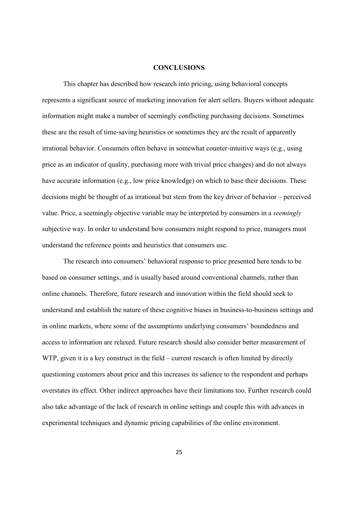#### **CONCLUSIONS**

This chapter has described how research into pricing, using behavioral concepts represents a significant source of marketing innovation for alert sellers. Buyers without adequate information might make a number of seemingly conflicting purchasing decisions. Sometimes these are the result of time-saving heuristics or sometimes they are the result of apparently irrational behavior. Consumers often behave in somewhat counter-intuitive ways (e.g., using price as an indicator of quality, purchasing more with trivial price changes) and do not always have accurate information (e.g., low price knowledge) on which to base their decisions. These decisions might be thought of as irrational but stem from the key driver of behavior – perceived value. Price, a seemingly objective variable may be interpreted by consumers in a *seemingly* subjective way. In order to understand how consumers might respond to price, managers must understand the reference points and heuristics that consumers use.

The research into consumers' behavioral response to price presented here tends to be based on consumer settings, and is usually based around conventional channels, rather than online channels. Therefore, future research and innovation within the field should seek to understand and establish the nature of these cognitive biases in business-to-business settings and in online markets, where some of the assumptions underlying consumers' boundedness and access to information are relaxed. Future research should also consider better measurement of WTP, given it is a key construct in the field – current research is often limited by directly questioning customers about price and this increases its salience to the respondent and perhaps overstates its effect. Other indirect approaches have their limitations too. Further research could also take advantage of the lack of research in online settings and couple this with advances in experimental techniques and dynamic pricing capabilities of the online environment.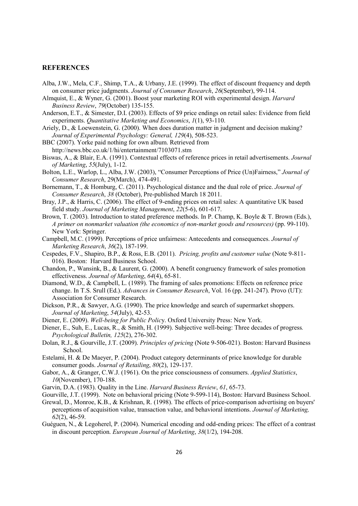#### **REFERENCES**

- Alba, J.W., Mela, C.F., Shimp, T.A., & Urbany, J.E. (1999). The effect of discount frequency and depth on consumer price judgments. Journal of Consumer Research, 26(September), 99-114.
- Almquist, E., & Wyner, G. (2001). Boost your marketing ROI with experimental design. *Harvard* Business Review, 79(October) 135-155.
- Anderson, E.T., & Simester, D.I. (2003). Effects of \$9 price endings on retail sales: Evidence from field experiments. Quantitative Marketing and Economics, 1(1), 93-110.
- Ariely, D., & Loewenstein, G. (2000). When does duration matter in judgment and decision making? Journal of Experimental Psychology: General, 129(4), 508-523.
- BBC (2007). Yorke paid nothing for own album. Retrieved from http://news.bbc.co.uk/1/hi/entertainment/7103071.stm
- Biswas, A., & Blair, E.A. (1991). Contextual effects of reference prices in retail advertisements. Journal of Marketing,  $55$ (July), 1-12.
- Bolton, L.E., Warlop, L., Alba, J.W. (2003), "Consumer Perceptions of Price (Un)Fairness," Journal of Consumer Research, 29(March), 474-491.
- Bornemann, T., & Homburg, C. (2011). Psychological distance and the dual role of price. Journal of Consumer Research, 38 (October). Pre-published March 18 2011.
- Bray, J.P., & Harris, C. (2006). The effect of 9-ending prices on retail sales: A quantitative UK based field study. Journal of Marketing Management, 22(5-6), 601-617.
- Brown, T. (2003). Introduction to stated preference methods. In P. Champ, K. Boyle & T. Brown (Eds.), A primer on nonmarket valuation (the economics of non-market goods and resources) (pp. 99-110). New York: Springer.
- Campbell, M.C. (1999). Perceptions of price unfairness: Antecedents and consequences. Journal of Marketing Research, 36(2), 187-199.
- Cespedes, F.V., Shapiro, B.P., & Ross, E.B. (2011). Pricing, profits and customer value (Note 9-811-016). Boston: Harvard Business School.
- Chandon, P., Wansink, B., & Laurent, G. (2000). A benefit congruency framework of sales promotion effectiveness. Journal of Marketing, 64(4), 65-81.
- Diamond, W.D., & Campbell, L. (1989). The framing of sales promotions: Effects on reference price change. In T.S. Srull (Ed.). Advances in Consumer Research, Vol. 16 (pp. 241-247). Provo (UT): Association for Consumer Research.
- Dickson, P.R., & Sawyer, A.G. (1990). The price knowledge and search of supermarket shoppers. Journal of Marketing, 54(July), 42-53.
- Diener, E. (2009). Well-being for Public Policy. Oxford University Press: New York.
- Diener, E., Suh, E., Lucas, R., & Smith, H. (1999). Subjective well-being: Three decades of progress. Psychological Bulletin, 125(2), 276-302.
- Dolan, R.J., & Gourville, J.T. (2009). Principles of pricing (Note 9-506-021). Boston: Harvard Business School.
- Estelami, H. & De Maeyer, P. (2004). Product category determinants of price knowledge for durable consumer goods. Journal of Retailing, 80(2), 129-137.
- Gabor, A., & Granger, C.W.J. (1961). On the price consciousness of consumers. Applied Statistics. 10(November), 170-188.
- Garvin, D.A. (1983). Ouality in the Line. *Harvard Business Review*, 61, 65-73.
- Gourville, J.T. (1999). Note on behavioral pricing (Note 9-599-114), Boston: Harvard Business School.
- Grewal, D., Monroe, K.B., & Krishnan, R. (1998). The effects of price-comparison advertising on buyers' perceptions of acquisition value, transaction value, and behavioral intentions. Journal of Marketing,  $62(2)$ , 46-59.
- Guéguen, N., & Legoherel, P. (2004). Numerical encoding and odd-ending prices: The effect of a contrast in discount perception. *European Journal of Marketing*, 38(1/2), 194-208.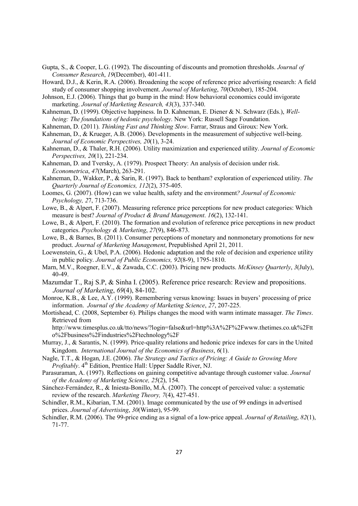- Gupta, S., & Cooper, L.G. (1992). The discounting of discounts and promotion thresholds. Journal of Consumer Research, 19(December), 401-411.
- Howard, D.J., & Kerin, R.A. (2006). Broadening the scope of reference price advertising research: A field study of consumer shopping involvement. Journal of Marketing. 70 (October), 185-204.
- Johnson, E.J. (2006). Things that go bump in the mind: How behavioral economics could invigorate marketing. Journal of Marketing Research, 43(3), 337-340.
- Kahneman, D. (1999). Objective happiness. In D. Kahneman, E. Diener & N. Schwarz (Eds.). Wellbeing: The foundations of hedonic psychology. New York: Russell Sage Foundation.
- Kahneman, D. (2011). Thinking Fast and Thinking Slow. Farrar, Straus and Giroux: New York.
- Kahneman, D., & Krueger, A.B. (2006). Developments in the measurement of subjective well-being. Journal of Economic Perspectives, 20(1), 3-24.
- Kahneman, D., & Thaler, R.H. (2006). Utility maximization and experienced utility. Journal of Economic Perspectives, 20(1), 221-234.
- Kahneman, D. and Tversky, A. (1979). Prospect Theory: An analysis of decision under risk. Econometrica, 47(March), 263-291.

Kahneman, D., Wakker, P., & Sarin, R. (1997). Back to bentham? exploration of experienced utility. The Ouarterly Journal of Economics, 112(2), 375-405.

- Loomes, G. (2007). (How) can we value health, safety and the environment? Journal of Economic Psychology, 27, 713-736.
- Lowe, B., & Alpert, F. (2007). Measuring reference price perceptions for new product categories: Which measure is best? Journal of Product & Brand Management. 16(2), 132-141.
- Lowe, B., & Alpert, F. (2010). The formation and evolution of reference price perceptions in new product categories. Psychology & Marketing, 27(9), 846-873.
- Lowe, B., & Barnes, B.  $(2011)$ . Consumer perceptions of monetary and nonmonetary promotions for new product. Journal of Marketing Management, Prepublished April 21, 2011.
- Loewenstein, G., & Ubel, P.A. (2006). Hedonic adaptation and the role of decision and experience utility in public policy. Journal of Public Economics, 92(8-9), 1795-1810.
- Marn, M.V., Roegner, E.V., & Zawada, C.C. (2003). Pricing new products. McKinsey Quarterly, 3(July).  $40-49$ .
- Mazumdar T., Raj S.P, & Sinha I. (2005). Reference price research: Review and propositions. Journal of Marketing, 69(4), 84-102.
- Monroe, K.B., & Lee, A.Y. (1999). Remembering versus knowing: Issues in buyers' processing of price information. Journal of the Academy of Marketing Science, 27, 207-225.
- Mortishead, C. (2008, September 6). Philips changes the mood with warm intimate massager. The Times. Retrieved from

http://www.timesplus.co.uk/tto/news/?login=false&url=http%3A%2F%2Fwww.thetimes.co.uk%2Ftt o%2Fbusiness%2Findustries%2Ftechnology%2F

Murray, J., & Sarantis, N. (1999). Price-quality relations and hedonic price indexes for cars in the United Kingdom. International Journal of the Economics of Business, 6(1).

Nagle, T.T., & Hogan, J.E. (2006). The Strategy and Tactics of Pricing: A Guide to Growing More *Profitably*,  $4^{\text{th}}$  Edition, Prentice Hall: Upper Saddle River, NJ.

- Parasuraman, A. (1997). Reflections on gaining competitive advantage through customer value. *Journal* of the Academy of Marketing Science, 25(2), 154.
- Sánchez-Fernández, R., & Iniesta-Bonillo, M.Á. (2007). The concept of perceived value: a systematic review of the research. Marketing Theory, 7(4), 427-451.
- Schindler, R.M., Kibarian, T.M. (2001). Image communicated by the use of 99 endings in advertised prices. Journal of Advertising, 30(Winter), 95-99.
- Schindler, R.M. (2006). The 99-price ending as a signal of a low-price appeal. Journal of Retailing, 82(1),  $71 - 77$ .